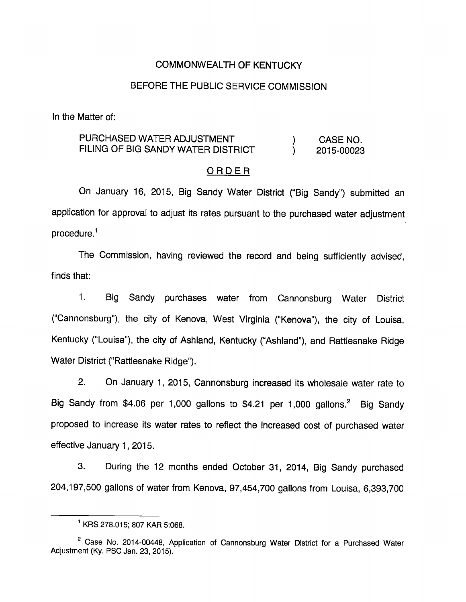### COMMONWEALTH OF KENTUCKY

## BEFORE THE PUBLIC SERVICE COMMISSION

In the Matter of:

## PURCHASED WATER ADJUSTMENT (a) CASE NO. FILING OF BIG SANDY WATER DISTRICT (2015-00023

### ORDER

On January 16, 2015, Big Sandy Water District ("Big Sandy") submitted an application for approval to adjust its rates pursuant to the purchased water adjustment procedure.<sup>1</sup>

The Commission, having reviewed the record and being sufficiently advised, finds that:

1. Big Sandy purchases water from Cannonsburg Water District ("Cannonsburg"), the city of Kenova, West Virginia ("Kenova"), the city of Louisa, Kentucky ("Louisa"), the city of Ashland, Kentucky ("Ashland"), and Rattlesnake Ridge Water District ("Rattlesnake Ridge").

2. On January 1, 2015, Cannonsburg increased its wholesale water rate to Big Sandy from \$4.06 per 1,000 gallons to \$4.21 per 1,000 gallons. $^2$  Big Sandy proposed to increase its water rates to reflect the increased cost of purchased water effective January 1, 2015.

3. During the 12 months ended October 31, 2014, Big Sandy purchased 204,197,500 gallons of water from Kenova, 97,454,700 gallons from Louisa, 6,393,700

 $^1$  KRS 278.015; 807 KAR 5:068.

 $2$  Case No. 2014-00448, Application of Cannonsburg Water District for a Purchased Water Adjustment (Ky. PSC Jan. 23, 2015).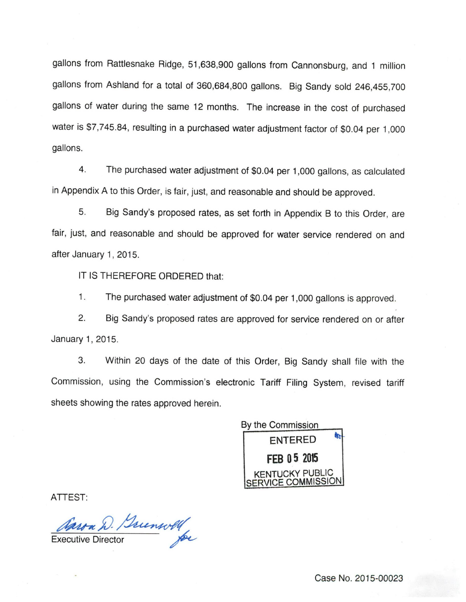gallons from Rattlesnake Ridge, 51,638,900 gallons from Cannonsburg, and 1 million gallons from Ashland for a total of 360,684,800 gallons. Big Sandy sold 246,455,700 gallons of water during the same 12 months. The increase in the cost of purchased water is \$7,745.84, resulting in a purchased water adjustment factor of \$0.04 per 1,000 gallons.

4. The purchased water adjustment of \$0.04 per 1,000 gallons, as calculated in Appendix A to this Order, is fair, just, and reasonable and should be approved.

5. Big Sandy's proposed rates, as set forth in Appendix B to this Order, are fair, just, and reasonable and should be approved for water service rendered on and after January 1, 2015.

IT IS THEREFORE ORDERED that:

1. The purchased water adjustment of \$0.04 per 1,000 gallons is approved.

2. Big Sandy's proposed rates are approved for service rendered on or after January 1, 2015.

3. Within 20 days of the date of this Order, Big Sandy shall file with the Commission, using the Commission's electronic Tariff Filing System, revised tariff sheets showing the rates approved herein.

By the Commission ENTERED FEB 05 2015 KENTUCKY PUBLIC SERVICE COMMISSION

ATTEST:

Caron D. Sunwell

Case No. 2015-00023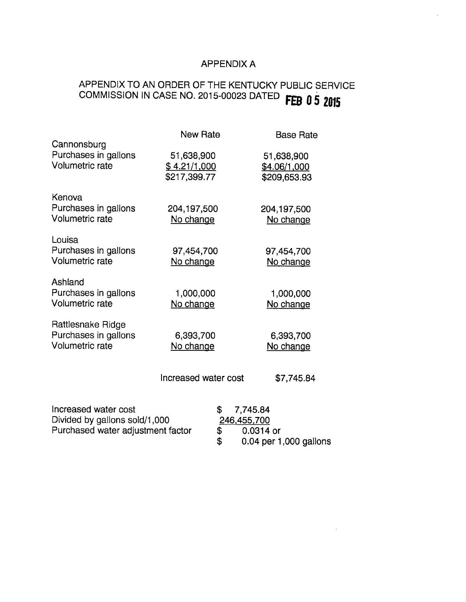## APPENDIX A

# APPENDIX TO AN ORDER OF THE KENTUCKY PUBLIC SERVICE APPENDIX TO AN OTICLY OF THE COMMISSION IN CASE NO. 2015-00023 DATED FEB 0 5 2015

| Cannonsburg                                                         | <b>New Rate</b>                                   | <b>Base Rate</b>                                  |
|---------------------------------------------------------------------|---------------------------------------------------|---------------------------------------------------|
| Purchases in gallons<br><b>Volumetric rate</b>                      | 51,638,900<br><u>\$4.21/1,000</u><br>\$217,399.77 | 51,638,900<br><u>\$4.06/1,000</u><br>\$209,653.93 |
| Kenova<br>Purchases in gallons<br>Volumetric rate                   | 204,197,500<br>No change                          | 204,197,500<br>No change                          |
| Louisa<br>Purchases in gallons<br><b>Volumetric rate</b>            | 97,454,700<br>No change                           | 97,454,700<br>No change                           |
| Ashland<br>Purchases in gallons<br><b>Volumetric rate</b>           | 1,000,000<br>No change                            | 1,000,000<br>No change                            |
| Rattlesnake Ridge<br>Purchases in gallons<br><b>Volumetric rate</b> | 6,393,700<br>No change                            | 6,393,700<br>No change                            |
|                                                                     | Increased water cost                              | \$7,745.84                                        |
| Increased water cost                                                | \$                                                | 7,745.84                                          |

| Increased water cost              | \$7,745.84             |
|-----------------------------------|------------------------|
| Divided by gallons sold/1,000     | 246,455,700            |
| Purchased water adjustment factor | 0.0314 or              |
|                                   | 0.04 per 1,000 gallons |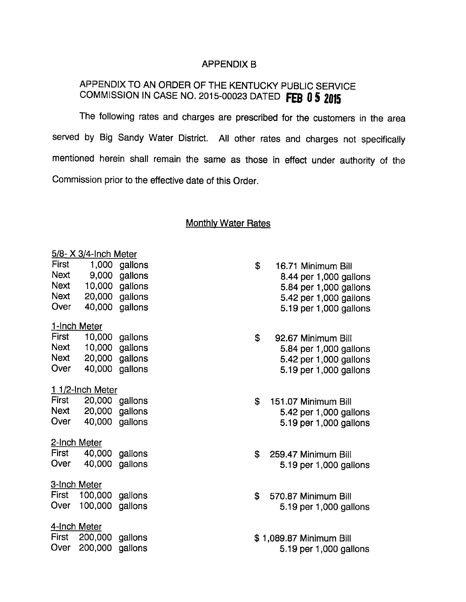### APPENDIX B

## APPENDIX TO AN ORDER OF THE KENTUCKY PUBLIC SERVICE COMMISSION IN CASE NO. 2015-00023 DATED FEB 0 5 2015

The following rates and charges are prescribed for the customers in the area served by Big Sandy Water District. All other rates and charges not specifically mentioned herein shall remain the same as those in effect under authority of the Commission prior to the effective date of this Order.

### **Monthly Water Rates**

| 5/8- X 3/4-Inch Meter          |         |         |  |  |  |
|--------------------------------|---------|---------|--|--|--|
| First                          | 1,000   | gallons |  |  |  |
| Next                           | 9,000   | gallons |  |  |  |
| Next                           | 10,000  | gallons |  |  |  |
| Next                           | 20,000  | gallons |  |  |  |
| Over                           | 40,000  | gallons |  |  |  |
| 1-Inch Meter                   |         |         |  |  |  |
| First                          | 10,000  | gallons |  |  |  |
| <b>Next</b>                    | 10,000  | gallons |  |  |  |
| Next                           | 20,000  | gallons |  |  |  |
| Over                           | 40,000  | gallons |  |  |  |
|                                |         |         |  |  |  |
| <u>1 1/2-In</u> ch Meter       |         |         |  |  |  |
| First                          | 20,000  | gallons |  |  |  |
| Next                           | 20,000  | gallons |  |  |  |
| Over                           | 40,000  | gallons |  |  |  |
| <u>2-Inch_</u><br>Meter        |         |         |  |  |  |
| First                          | 40,000  | gallons |  |  |  |
| Over                           | 40,000  | gallons |  |  |  |
|                                |         |         |  |  |  |
| <u>3-Inch_</u>                 | Meter   |         |  |  |  |
| First                          | 100,000 | gallons |  |  |  |
| Over                           | 100,000 | gallons |  |  |  |
| <u>4-Inch_</u><br><u>Meter</u> |         |         |  |  |  |
| First                          | 200,000 | gallons |  |  |  |
| Over                           | 200,000 | gallons |  |  |  |
|                                |         |         |  |  |  |
|                                |         |         |  |  |  |

- \$ 16.71 Minimum Bill 8.44 per 1,000 gallons 5.84 per 1,000 gallons 5.42 per 1,000 gallons Over 40,000 gallons 5.19 per 1,000 gallons
- \$ 92.67 Minimum Bill 5.84 per 1,000 gallons 5.42 per 1,000 gallons Over 40,000 gallons 5.19 per 1,000 gallons
- $$151.07$  Minimum Bill 5.42 per 1,000 gallons Over 40,000 gallons 5.19 per 1,000 gallons
- \$ 259.47 Minimum Bill Over 40,000 gallons 5.19 per 1,000 gallons
- \$ 570.87 Minimum Bill 5.19 per 1,000 gallons
- \$ 1,089.87 Minimum Bill Over 200,000 gallons 5.19 per 1,000 gallons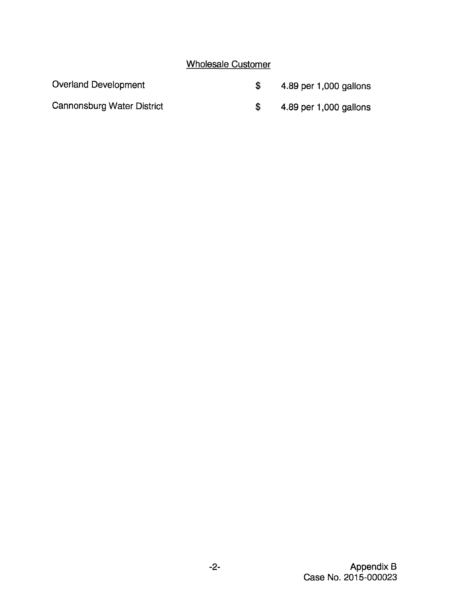# Wholesale Customer

| Overland Development       | 4.89 per 1,000 gallons |
|----------------------------|------------------------|
| Cannonsburg Water District | 4.89 per 1,000 gallons |